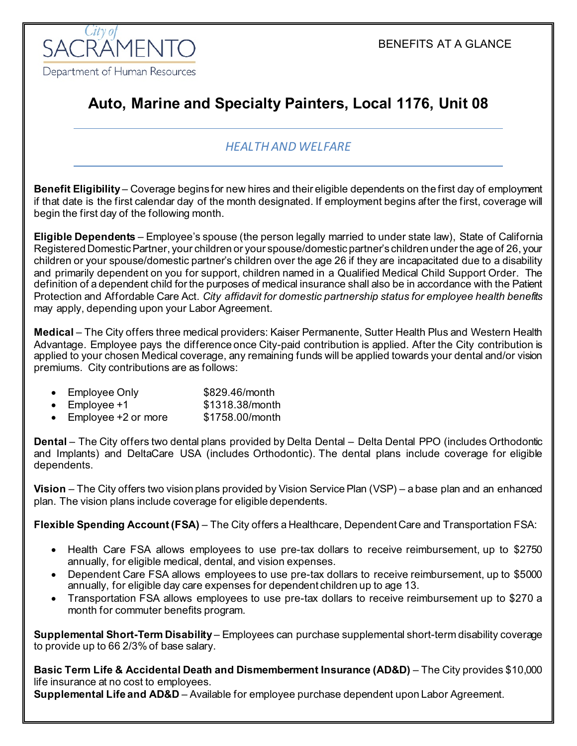

# **Auto, Marine and Specialty Painters, Local 1176, Unit 08**

### *HEALTH AND WELFARE*

**Benefit Eligibility** – Coverage begins for new hires and their eligible dependents on the first day of employment if that date is the first calendar day of the month designated. If employment begins after the first, coverage will begin the first day of the following month.

**Eligible Dependents** – Employee's spouse (the person legally married to under state law), State of California Registered Domestic Partner, your children or your spouse/domestic partner's children under the age of 26, your children or your spouse/domestic partner's children over the age 26 if they are incapacitated due to a disability and primarily dependent on you for support, children named in a Qualified Medical Child Support Order. The definition of a dependent child for the purposes of medical insurance shall also be in accordance with the Patient Protection and Affordable Care Act. *City affidavit for domestic partnership status for employee health benefits* may apply, depending upon your Labor Agreement.

**Medical** – The City offers three medical providers: Kaiser Permanente, Sutter Health Plus and Western Health Advantage. Employee pays the difference once City-paid contribution is applied. After the City contribution is applied to your chosen Medical coverage, any remaining funds will be applied towards your dental and/or vision premiums. City contributions are as follows:

- Employee Only \$829.46/month
- Employee +1  $$1318.38/m$ onth
- Employee +2 or more \$1758.00/month

**Dental** – The City offers two dental plans provided by Delta Dental – Delta Dental PPO (includes Orthodontic and Implants) and DeltaCare USA (includes Orthodontic). The dental plans include coverage for eligible dependents.

**Vision** – The City offers two vision plans provided by Vision Service Plan (VSP) – a base plan and an enhanced plan. The vision plans include coverage for eligible dependents.

**Flexible Spending Account (FSA)** – The City offers a Healthcare, Dependent Care and Transportation FSA:

- Health Care FSA allows employees to use pre-tax dollars to receive reimbursement, up to \$2750 annually, for eligible medical, dental, and vision expenses.
- Dependent Care FSA allows employees to use pre-tax dollars to receive reimbursement, up to \$5000 annually, for eligible day care expenses for dependent children up to age 13.
- Transportation FSA allows employees to use pre-tax dollars to receive reimbursement up to \$270 a month for commuter benefits program.

**Supplemental Short-Term Disability** – Employees can purchase supplemental short-term disability coverage to provide up to 66 2/3% of base salary.

**Basic Term Life & Accidental Death and Dismemberment Insurance (AD&D)** – The City provides \$10,000 life insurance at no cost to employees.

**Supplemental Life and AD&D** – Available for employee purchase dependent upon Labor Agreement.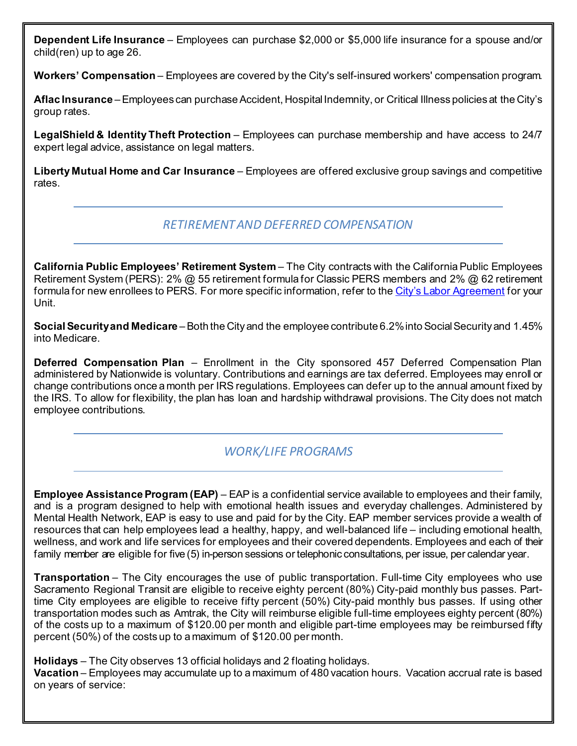**Dependent Life Insurance** – Employees can purchase \$2,000 or \$5,000 life insurance for a spouse and/or child(ren) up to age 26.

**Workers' Compensation** – Employees are covered by the City's self-insured workers' compensation program.

**Aflac Insurance** –Employees can purchase Accident, Hospital Indemnity, or Critical Illness policies at the City's group rates.

**LegalShield & Identity Theft Protection** – Employees can purchase membership and have access to 24/7 expert legal advice, assistance on legal matters.

**Liberty Mutual Home and Car Insurance** – Employees are offered exclusive group savings and competitive rates.

#### *RETIREMENT AND DEFERRED COMPENSATION*

**California Public Employees' Retirement System** – The City contracts with the California Public Employees Retirement System (PERS): 2% @ 55 retirement formula for Classic PERS members and 2% @ 62 retirement formula for new enrollees to PERS. For more specific information, refer to th[e City's Labor Agreement](http://www.cityofsacramento.org/HR/Divisions/Labor-Relations/Labor-Agreements) for your Unit.

**Social Security and Medicare** –Both the City and the employee contribute 6.2% into Social Security and 1.45% into Medicare.

**Deferred Compensation Plan** – Enrollment in the City sponsored 457 Deferred Compensation Plan administered by Nationwide is voluntary. Contributions and earnings are tax deferred. Employees may enroll or change contributions once a month per IRS regulations. Employees can defer up to the annual amount fixed by the IRS. To allow for flexibility, the plan has loan and hardship withdrawal provisions. The City does not match employee contributions.

## *WORK/LIFE PROGRAMS*

**Employee Assistance Program (EAP)** – EAP is a confidential service available to employees and their family, and is a program designed to help with emotional health issues and everyday challenges. Administered by Mental Health Network, EAP is easy to use and paid for by the City. EAP member services provide a wealth of resources that can help employees lead a healthy, happy, and well-balanced life – including emotional health, wellness, and work and life services for employees and their covered dependents. Employees and each of their family member are eligible for five (5) in-person sessions or telephonic consultations, per issue, per calendar year.

**Transportation** – The City encourages the use of public transportation. Full-time City employees who use Sacramento Regional Transit are eligible to receive eighty percent (80%) City-paid monthly bus passes. Parttime City employees are eligible to receive fifty percent (50%) City-paid monthly bus passes. If using other transportation modes such as Amtrak, the City will reimburse eligible full-time employees eighty percent (80%) of the costs up to a maximum of \$120.00 per month and eligible part-time employees may be reimbursed fifty percent (50%) of the costs up to a maximum of \$120.00 per month.

**Holidays** – The City observes 13 official holidays and 2 floating holidays.

**Vacation** – Employees may accumulate up to a maximum of 480 vacation hours. Vacation accrual rate is based on years of service: